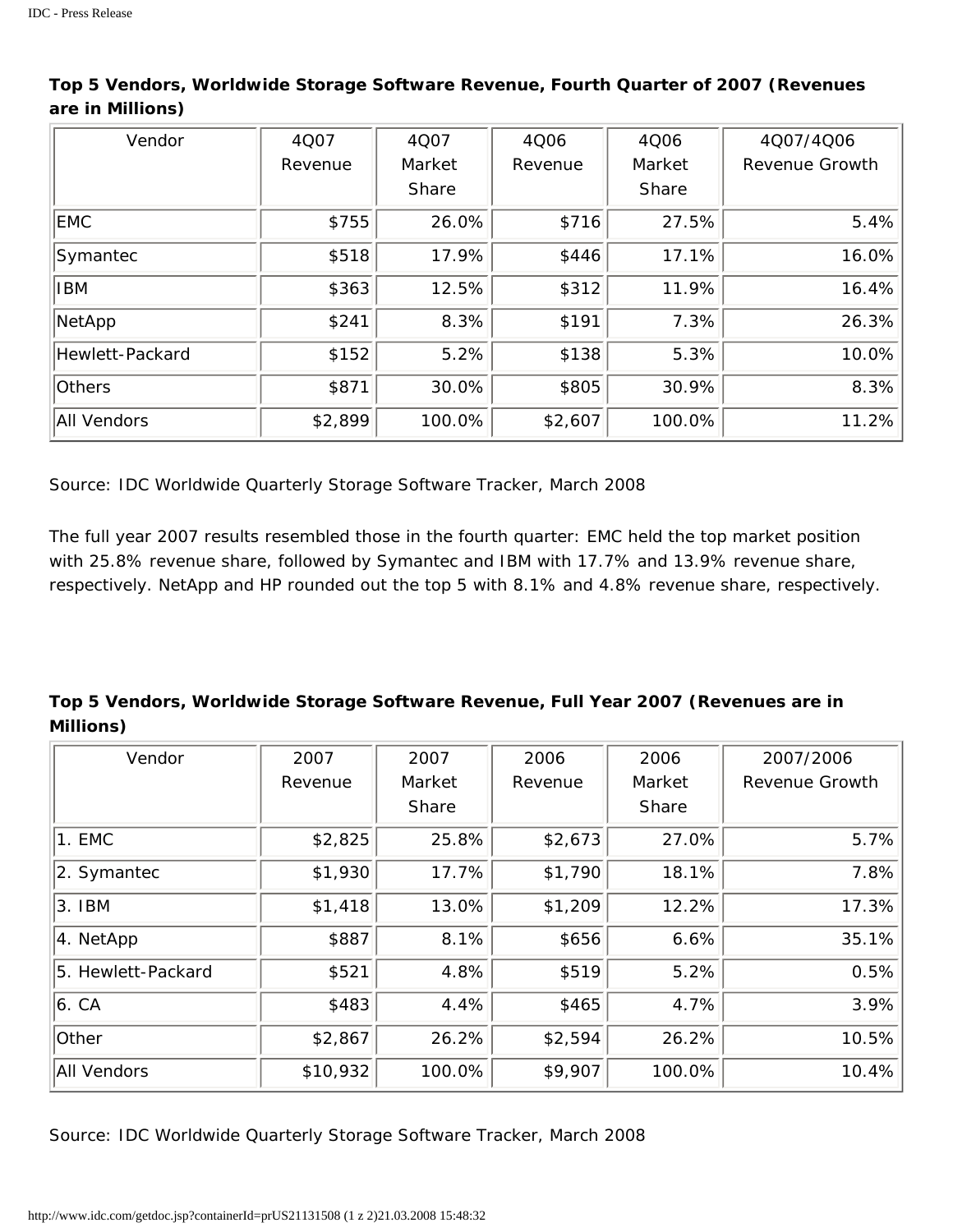| Vendor          | 4Q07    | 4Q07   | 4Q06    | 4Q06   | 4Q07/4Q06      |
|-----------------|---------|--------|---------|--------|----------------|
|                 | Revenue | Market | Revenue | Market | Revenue Growth |
|                 |         | Share  |         | Share  |                |
| <b>EMC</b>      | \$755   | 26.0%  | \$716   | 27.5%  | 5.4%           |
| Symantec        | \$518   | 17.9%  | \$446   | 17.1%  | 16.0%          |
| <b>IBM</b>      | \$363   | 12.5%  | \$312   | 11.9%  | 16.4%          |
| NetApp          | \$241   | 8.3%   | \$191   | 7.3%   | 26.3%          |
| Hewlett-Packard | \$152   | 5.2%   | \$138   | 5.3%   | 10.0%          |
| Others          | \$871   | 30.0%  | \$805   | 30.9%  | 8.3%           |
| All Vendors     | \$2,899 | 100.0% | \$2,607 | 100.0% | 11.2%          |

## **Top 5 Vendors, Worldwide Storage Software Revenue, Fourth Quarter of 2007 (Revenues are in Millions)**

*Source: IDC Worldwide Quarterly Storage Software Tracker, March 2008*

The full year 2007 results resembled those in the fourth quarter: EMC held the top market position with 25.8% revenue share, followed by Symantec and IBM with 17.7% and 13.9% revenue share, respectively. NetApp and HP rounded out the top 5 with 8.1% and 4.8% revenue share, respectively.

## **Top 5 Vendors, Worldwide Storage Software Revenue, Full Year 2007 (Revenues are in Millions)**

| Vendor             | 2007     | 2007   | 2006    | 2006   | 2007/2006             |
|--------------------|----------|--------|---------|--------|-----------------------|
|                    | Revenue  | Market | Revenue | Market | <b>Revenue Growth</b> |
|                    |          | Share  |         | Share  |                       |
| 1. EMC             | \$2,825  | 25.8%  | \$2,673 | 27.0%  | 5.7%                  |
| 2. Symantec        | \$1,930  | 17.7%  | \$1,790 | 18.1%  | 7.8%                  |
| 3. IBM             | \$1,418  | 13.0%  | \$1,209 | 12.2%  | 17.3%                 |
| 4. NetApp          | \$887    | 8.1%   | \$656   | 6.6%   | 35.1%                 |
| 5. Hewlett-Packard | \$521    | 4.8%   | \$519   | 5.2%   | 0.5%                  |
| 6. C A             | \$483    | 4.4%   | \$465   | 4.7%   | 3.9%                  |
| Other              | \$2,867  | 26.2%  | \$2,594 | 26.2%  | 10.5%                 |
| All Vendors        | \$10,932 | 100.0% | \$9,907 | 100.0% | 10.4%                 |

*Source: IDC Worldwide Quarterly Storage Software Tracker, March 2008*